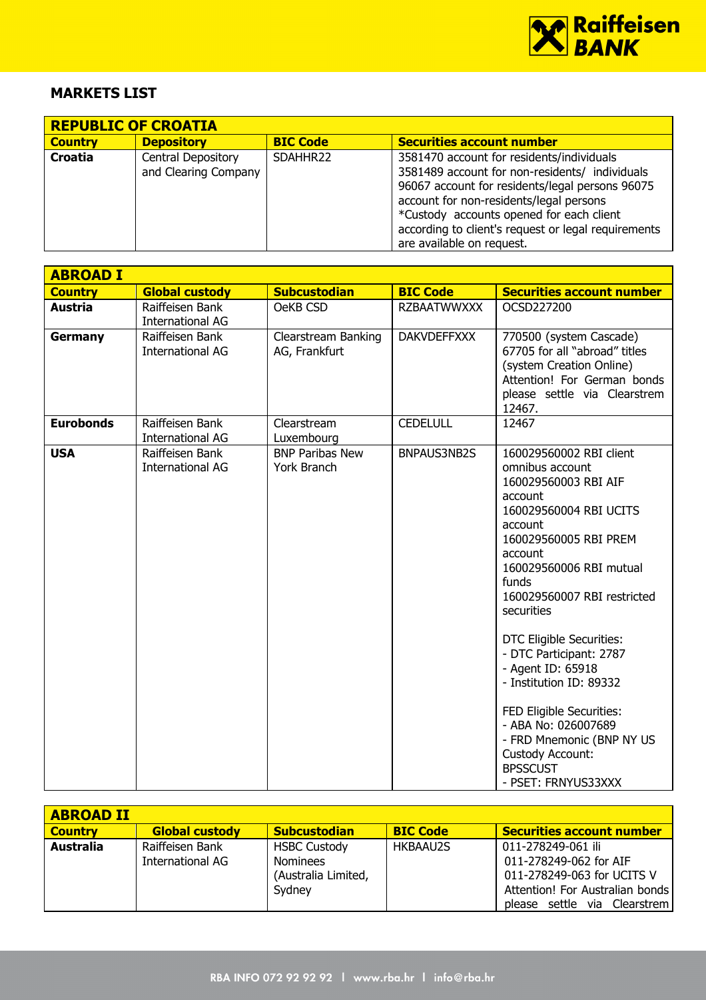

## MARKETS LIST

| <b>REPUBLIC OF CROATIA</b> |                                            |                 |                                                                                                                                                                                                                                                                                                                           |  |  |
|----------------------------|--------------------------------------------|-----------------|---------------------------------------------------------------------------------------------------------------------------------------------------------------------------------------------------------------------------------------------------------------------------------------------------------------------------|--|--|
| <b>Country</b>             | <b>Depository</b>                          | <b>BIC Code</b> | <b>Securities account number</b>                                                                                                                                                                                                                                                                                          |  |  |
| Croatia                    | Central Depository<br>and Clearing Company | SDAHHR22        | 3581470 account for residents/individuals<br>3581489 account for non-residents/ individuals<br>96067 account for residents/legal persons 96075<br>account for non-residents/legal persons<br>*Custody accounts opened for each client<br>according to client's request or legal requirements<br>are available on request. |  |  |

| <b>ABROAD I</b>  |                                            |                                       |                    |                                                                                                                                                                                                                                                                                                                                                                                                                                                                                              |
|------------------|--------------------------------------------|---------------------------------------|--------------------|----------------------------------------------------------------------------------------------------------------------------------------------------------------------------------------------------------------------------------------------------------------------------------------------------------------------------------------------------------------------------------------------------------------------------------------------------------------------------------------------|
| <b>Country</b>   | <b>Global custody</b>                      | <b>Subcustodian</b>                   | <b>BIC Code</b>    | <b>Securities account number</b>                                                                                                                                                                                                                                                                                                                                                                                                                                                             |
| Austria          | Raiffeisen Bank<br><b>International AG</b> | OeKB CSD                              | <b>RZBAATWWXXX</b> | OCSD227200                                                                                                                                                                                                                                                                                                                                                                                                                                                                                   |
| Germany          | Raiffeisen Bank<br><b>International AG</b> | Clearstream Banking<br>AG, Frankfurt  | <b>DAKVDEFFXXX</b> | 770500 (system Cascade)<br>67705 for all "abroad" titles<br>(system Creation Online)<br>Attention! For German bonds<br>please settle via Clearstrem<br>12467.                                                                                                                                                                                                                                                                                                                                |
| <b>Eurobonds</b> | Raiffeisen Bank<br><b>International AG</b> | Clearstream<br>Luxembourg             | <b>CEDELULL</b>    | 12467                                                                                                                                                                                                                                                                                                                                                                                                                                                                                        |
| <b>USA</b>       | Raiffeisen Bank<br><b>International AG</b> | <b>BNP Paribas New</b><br>York Branch | BNPAUS3NB2S        | 160029560002 RBI client<br>omnibus account<br>160029560003 RBI AIF<br>account<br>160029560004 RBI UCITS<br>account<br>160029560005 RBI PREM<br>account<br>160029560006 RBI mutual<br>funds<br>160029560007 RBI restricted<br>securities<br>DTC Eligible Securities:<br>- DTC Participant: 2787<br>- Agent ID: 65918<br>- Institution ID: 89332<br>FED Eligible Securities:<br>- ABA No: 026007689<br>- FRD Mnemonic (BNP NY US<br>Custody Account:<br><b>BPSSCUST</b><br>- PSET: FRNYUS33XXX |

| <b>ABROAD II</b> |                                     |                                                                         |                 |                                                                                                                                               |
|------------------|-------------------------------------|-------------------------------------------------------------------------|-----------------|-----------------------------------------------------------------------------------------------------------------------------------------------|
| <b>Country</b>   | <b>Global custody</b>               | <b>Subcustodian</b>                                                     | <b>BIC Code</b> | <b>Securities account number</b>                                                                                                              |
| Australia        | Raiffeisen Bank<br>International AG | <b>HSBC Custody</b><br><b>Nominees</b><br>(Australia Limited,<br>Sydney | <b>HKBAAU2S</b> | 011-278249-061 ili<br>011-278249-062 for AIF<br>011-278249-063 for UCITS V<br>Attention! For Australian bonds<br>please settle via Clearstrem |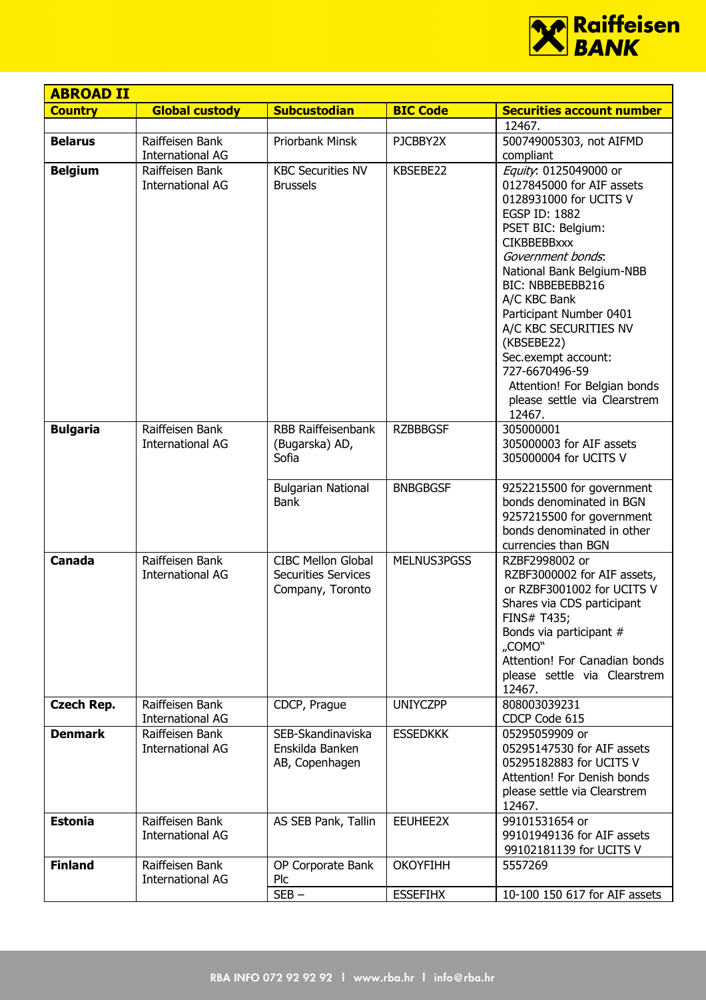

| <b>ABROAD II</b>  |                                            |                                                                             |                 |                                                                                                                                                                                                                                                                                                                                                                                                                      |
|-------------------|--------------------------------------------|-----------------------------------------------------------------------------|-----------------|----------------------------------------------------------------------------------------------------------------------------------------------------------------------------------------------------------------------------------------------------------------------------------------------------------------------------------------------------------------------------------------------------------------------|
| <b>Country</b>    | <b>Global custody</b>                      | <b>Subcustodian</b>                                                         | <b>BIC Code</b> | <b>Securities account number</b>                                                                                                                                                                                                                                                                                                                                                                                     |
|                   |                                            |                                                                             |                 | 12467.                                                                                                                                                                                                                                                                                                                                                                                                               |
| <b>Belarus</b>    | Raiffeisen Bank<br><b>International AG</b> | Priorbank Minsk                                                             | PJCBBY2X        | 500749005303, not AIFMD<br>compliant                                                                                                                                                                                                                                                                                                                                                                                 |
| <b>Belgium</b>    | Raiffeisen Bank<br><b>International AG</b> | <b>KBC Securities NV</b><br><b>Brussels</b>                                 | KBSEBE22        | Equity: 0125049000 or<br>0127845000 for AIF assets<br>0128931000 for UCITS V<br>EGSP ID: 1882<br>PSET BIC: Belgium:<br><b>CIKBBEBBxxx</b><br>Government bonds.<br>National Bank Belgium-NBB<br>BIC: NBBEBEBB216<br>A/C KBC Bank<br>Participant Number 0401<br>A/C KBC SECURITIES NV<br>(KBSEBE22)<br>Sec.exempt account:<br>727-6670496-59<br>Attention! For Belgian bonds<br>please settle via Clearstrem<br>12467. |
| <b>Bulgaria</b>   | Raiffeisen Bank<br><b>International AG</b> | RBB Raiffeisenbank<br>(Bugarska) AD,<br>Sofia                               | <b>RZBBBGSF</b> | 305000001<br>305000003 for AIF assets<br>305000004 for UCITS V                                                                                                                                                                                                                                                                                                                                                       |
|                   |                                            | <b>Bulgarian National</b><br><b>Bank</b>                                    | <b>BNBGBGSF</b> | 9252215500 for government<br>bonds denominated in BGN<br>9257215500 for government<br>bonds denominated in other<br>currencies than BGN                                                                                                                                                                                                                                                                              |
| Canada            | Raiffeisen Bank<br><b>International AG</b> | <b>CIBC Mellon Global</b><br><b>Securities Services</b><br>Company, Toronto | MELNUS3PGSS     | RZBF2998002 or<br>RZBF3000002 for AIF assets,<br>or RZBF3001002 for UCITS V<br>Shares via CDS participant<br><b>FINS# T435;</b><br>Bonds via participant #<br>"COMO"<br>Attention! For Canadian bonds<br>please settle via Clearstrem<br>12467.                                                                                                                                                                      |
| <b>Czech Rep.</b> | Raiffeisen Bank<br><b>International AG</b> | CDCP, Prague                                                                | <b>UNIYCZPP</b> | 808003039231<br>CDCP Code 615                                                                                                                                                                                                                                                                                                                                                                                        |
| <b>Denmark</b>    | Raiffeisen Bank<br><b>International AG</b> | SEB-Skandinaviska<br>Enskilda Banken<br>AB, Copenhagen                      | <b>ESSEDKKK</b> | 05295059909 or<br>05295147530 for AIF assets<br>05295182883 for UCITS V<br>Attention! For Denish bonds<br>please settle via Clearstrem<br>12467.                                                                                                                                                                                                                                                                     |
| <b>Estonia</b>    | Raiffeisen Bank<br><b>International AG</b> | AS SEB Pank, Tallin                                                         | EEUHEE2X        | 99101531654 or<br>99101949136 for AIF assets<br>99102181139 for UCITS V                                                                                                                                                                                                                                                                                                                                              |
| <b>Finland</b>    | Raiffeisen Bank<br><b>International AG</b> | OP Corporate Bank<br>Plc                                                    | <b>OKOYFIHH</b> | 5557269                                                                                                                                                                                                                                                                                                                                                                                                              |
|                   |                                            | $SEB -$                                                                     | <b>ESSEFIHX</b> | 10-100 150 617 for AIF assets                                                                                                                                                                                                                                                                                                                                                                                        |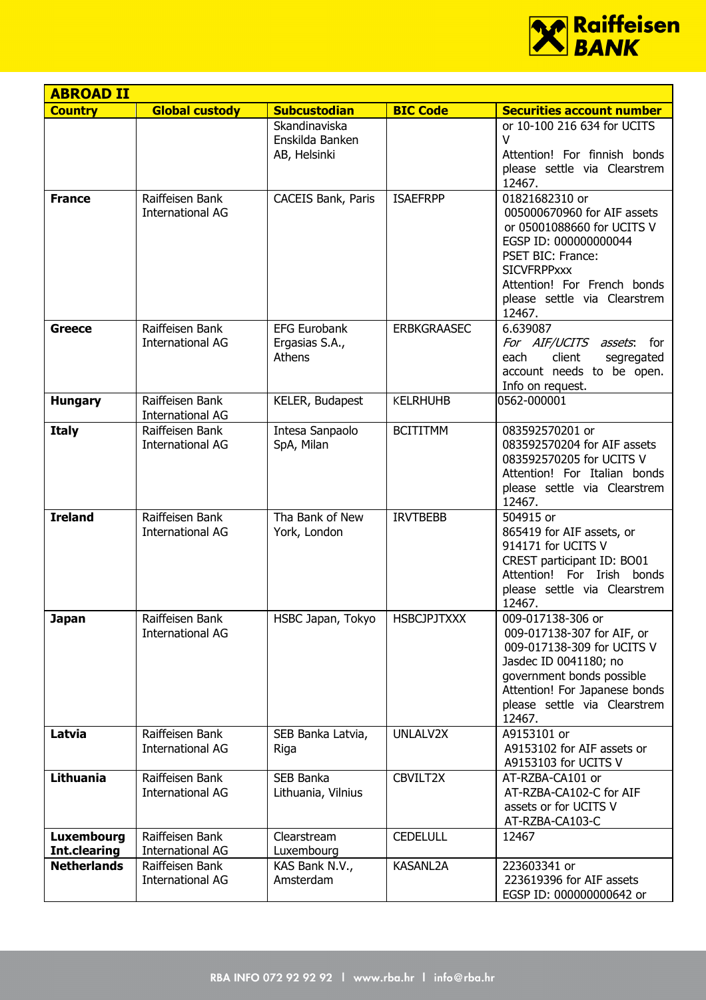

| <b>ABROAD II</b>           |                                            |                                                  |                    |                                                                                                                                                                                                                          |
|----------------------------|--------------------------------------------|--------------------------------------------------|--------------------|--------------------------------------------------------------------------------------------------------------------------------------------------------------------------------------------------------------------------|
| <b>Country</b>             | <b>Global custody</b>                      | <b>Subcustodian</b>                              | <b>BIC Code</b>    | <b>Securities account number</b>                                                                                                                                                                                         |
|                            |                                            | Skandinaviska<br>Enskilda Banken<br>AB, Helsinki |                    | or 10-100 216 634 for UCITS<br>V<br>Attention! For finnish bonds<br>please settle via Clearstrem<br>12467.                                                                                                               |
| <b>France</b>              | Raiffeisen Bank<br><b>International AG</b> | <b>CACEIS Bank, Paris</b>                        | <b>ISAEFRPP</b>    | 01821682310 or<br>005000670960 for AIF assets<br>or 05001088660 for UCITS V<br>EGSP ID: 000000000044<br>PSET BIC: France:<br><b>SICVFRPPxxx</b><br>Attention! For French bonds<br>please settle via Clearstrem<br>12467. |
| Greece                     | Raiffeisen Bank<br><b>International AG</b> | <b>EFG Eurobank</b><br>Ergasias S.A.,<br>Athens  | <b>ERBKGRAASEC</b> | 6.639087<br>For AIF/UCITS assets: for<br>client<br>each<br>segregated<br>account needs to be open.<br>Info on request.                                                                                                   |
| <b>Hungary</b>             | Raiffeisen Bank<br><b>International AG</b> | KELER, Budapest                                  | <b>KELRHUHB</b>    | 0562-000001                                                                                                                                                                                                              |
| <b>Italy</b>               | Raiffeisen Bank<br><b>International AG</b> | Intesa Sanpaolo<br>SpA, Milan                    | <b>BCITITMM</b>    | 083592570201 or<br>083592570204 for AIF assets<br>083592570205 for UCITS V<br>Attention! For Italian bonds<br>please settle via Clearstrem<br>12467.                                                                     |
| <b>Ireland</b>             | Raiffeisen Bank<br><b>International AG</b> | Tha Bank of New<br>York, London                  | <b>IRVTBEBB</b>    | 504915 or<br>865419 for AIF assets, or<br>914171 for UCITS V<br>CREST participant ID: BO01<br>Attention! For Irish bonds<br>please settle via Clearstrem<br>12467.                                                       |
| <b>Japan</b>               | Raiffeisen Bank<br><b>International AG</b> | HSBC Japan, Tokyo                                | <b>HSBCJPJTXXX</b> | 009-017138-306 or<br>009-017138-307 for AIF, or<br>009-017138-309 for UCITS V<br>Jasdec ID 0041180; no<br>government bonds possible<br>Attention! For Japanese bonds<br>please settle via Clearstrem<br>12467.           |
| Latvia                     | Raiffeisen Bank<br><b>International AG</b> | SEB Banka Latvia,<br>Riga                        | UNLALV2X           | A9153101 or<br>A9153102 for AIF assets or<br>A9153103 for UCITS V                                                                                                                                                        |
| <b>Lithuania</b>           | Raiffeisen Bank<br><b>International AG</b> | SEB Banka<br>Lithuania, Vilnius                  | CBVILT2X           | AT-RZBA-CA101 or<br>AT-RZBA-CA102-C for AIF<br>assets or for UCITS V<br>AT-RZBA-CA103-C                                                                                                                                  |
| Luxembourg<br>Int.clearing | Raiffeisen Bank<br><b>International AG</b> | Clearstream<br>Luxembourg                        | <b>CEDELULL</b>    | 12467                                                                                                                                                                                                                    |
| <b>Netherlands</b>         | Raiffeisen Bank<br><b>International AG</b> | KAS Bank N.V.,<br>Amsterdam                      | <b>KASANL2A</b>    | 223603341 or<br>223619396 for AIF assets<br>EGSP ID: 000000000642 or                                                                                                                                                     |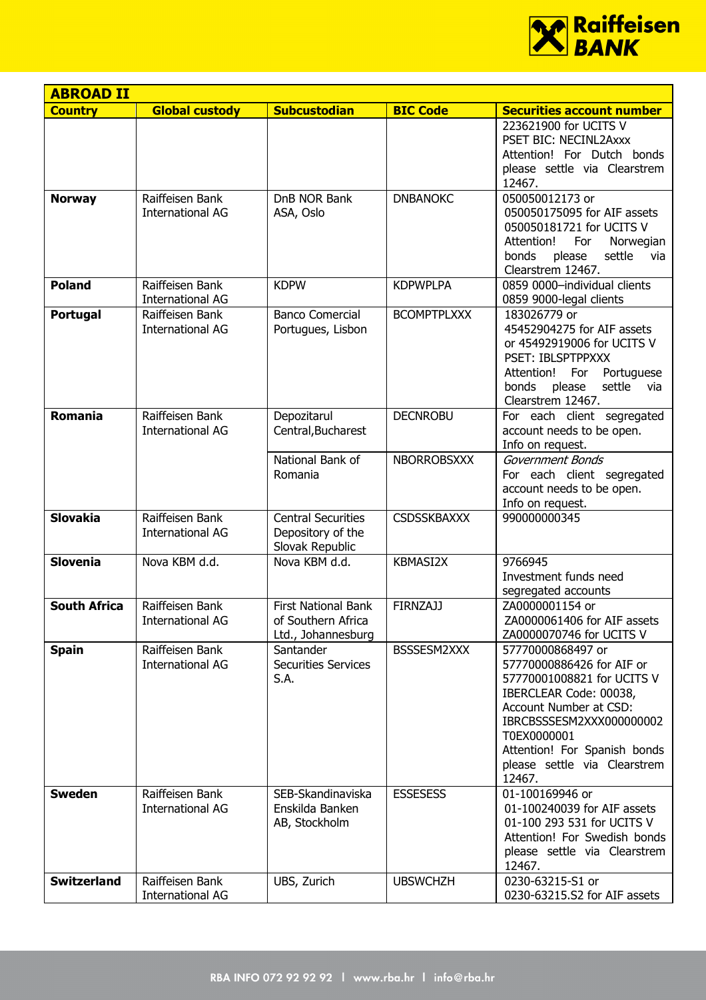

| <b>ABROAD II</b>    |                                            |                                                                        |                    |                                                                                                                                                                                                                                                       |
|---------------------|--------------------------------------------|------------------------------------------------------------------------|--------------------|-------------------------------------------------------------------------------------------------------------------------------------------------------------------------------------------------------------------------------------------------------|
| <b>Country</b>      | <b>Global custody</b>                      | <b>Subcustodian</b>                                                    | <b>BIC Code</b>    | <b>Securities account number</b>                                                                                                                                                                                                                      |
| <b>Norway</b>       | Raiffeisen Bank                            | DnB NOR Bank                                                           | <b>DNBANOKC</b>    | 223621900 for UCITS V<br>PSET BIC: NECINL2Axxx<br>Attention! For Dutch bonds<br>please settle via Clearstrem<br>12467.<br>050050012173 or                                                                                                             |
|                     | <b>International AG</b>                    | ASA, Oslo                                                              |                    | 050050175095 for AIF assets<br>050050181721 for UCITS V<br>Attention!<br>For<br>Norwegian<br>bonds<br>settle<br>please<br>via<br>Clearstrem 12467.                                                                                                    |
| <b>Poland</b>       | Raiffeisen Bank<br><b>International AG</b> | <b>KDPW</b>                                                            | <b>KDPWPLPA</b>    | 0859 0000-individual clients<br>0859 9000-legal clients                                                                                                                                                                                               |
| Portugal            | Raiffeisen Bank<br><b>International AG</b> | <b>Banco Comercial</b><br>Portugues, Lisbon                            | <b>BCOMPTPLXXX</b> | 183026779 or<br>45452904275 for AIF assets<br>or 45492919006 for UCITS V<br>PSET: IBLSPTPPXXX<br>Portuguese<br>Attention!<br>For<br>please<br>settle<br>bonds<br>via<br>Clearstrem 12467.                                                             |
| <b>Romania</b>      | Raiffeisen Bank<br><b>International AG</b> | Depozitarul<br>Central, Bucharest                                      | <b>DECNROBU</b>    | For each client segregated<br>account needs to be open.<br>Info on request.                                                                                                                                                                           |
|                     |                                            | National Bank of<br>Romania                                            | <b>NBORROBSXXX</b> | Government Bonds<br>For each client segregated<br>account needs to be open.<br>Info on request.                                                                                                                                                       |
| <b>Slovakia</b>     | Raiffeisen Bank<br><b>International AG</b> | <b>Central Securities</b><br>Depository of the<br>Slovak Republic      | <b>CSDSSKBAXXX</b> | 990000000345                                                                                                                                                                                                                                          |
| <b>Slovenia</b>     | Nova KBM d.d.                              | Nova KBM d.d.                                                          | <b>KBMASI2X</b>    | 9766945<br>Investment funds need<br>segregated accounts                                                                                                                                                                                               |
| <b>South Africa</b> | Raiffeisen Bank<br>International AG        | <b>First National Bank</b><br>of Southern Africa<br>Ltd., Johannesburg | <b>FIRNZAJJ</b>    | ZA0000001154 or<br>ZA0000061406 for AIF assets<br>ZA0000070746 for UCITS V                                                                                                                                                                            |
| <b>Spain</b>        | Raiffeisen Bank<br><b>International AG</b> | Santander<br><b>Securities Services</b><br>S.A.                        | BSSSESM2XXX        | 57770000868497 or<br>57770000886426 for AIF or<br>57770001008821 for UCITS V<br>IBERCLEAR Code: 00038,<br>Account Number at CSD:<br>IBRCBSSSESM2XXX000000002<br>T0EX0000001<br>Attention! For Spanish bonds<br>please settle via Clearstrem<br>12467. |
| <b>Sweden</b>       | Raiffeisen Bank<br><b>International AG</b> | SEB-Skandinaviska<br>Enskilda Banken<br>AB, Stockholm                  | <b>ESSESESS</b>    | 01-100169946 or<br>01-100240039 for AIF assets<br>01-100 293 531 for UCITS V<br>Attention! For Swedish bonds<br>please settle via Clearstrem<br>12467.                                                                                                |
| <b>Switzerland</b>  | Raiffeisen Bank<br><b>International AG</b> | UBS, Zurich                                                            | <b>UBSWCHZH</b>    | 0230-63215-S1 or<br>0230-63215.S2 for AIF assets                                                                                                                                                                                                      |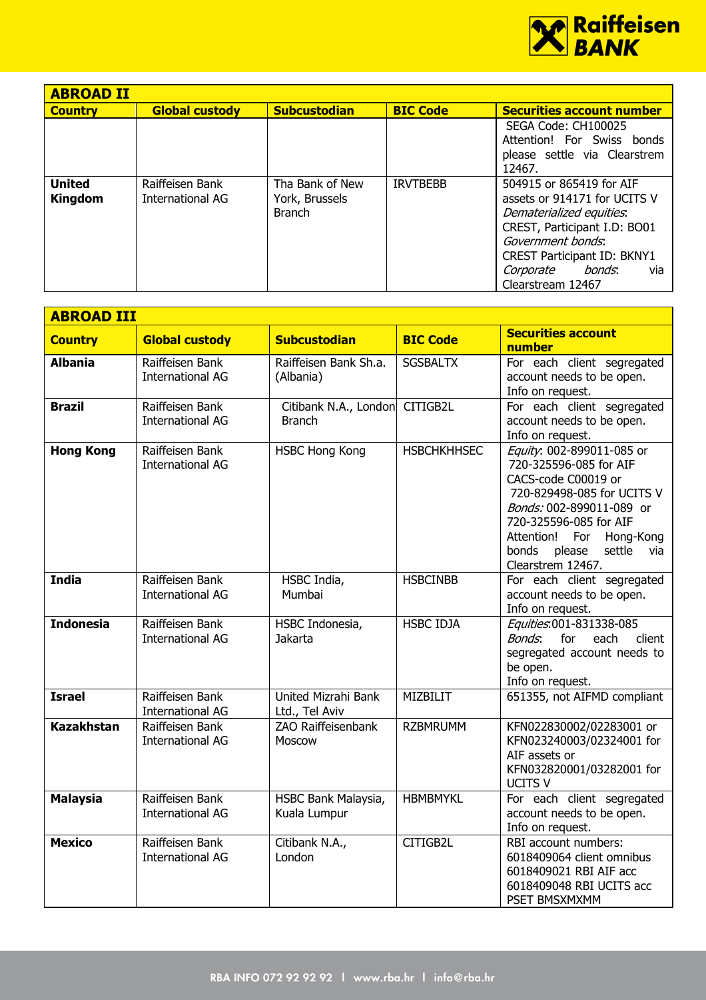

| <b>ABROAD II</b>                |                                     |                                                    |                 |                                                                                                                                                                                                                                    |
|---------------------------------|-------------------------------------|----------------------------------------------------|-----------------|------------------------------------------------------------------------------------------------------------------------------------------------------------------------------------------------------------------------------------|
| <b>Country</b>                  | <b>Global custody</b>               | <b>Subcustodian</b>                                | <b>BIC Code</b> | <b>Securities account number</b>                                                                                                                                                                                                   |
|                                 |                                     |                                                    |                 | SEGA Code: CH100025<br>Attention! For Swiss bonds<br>please settle via Clearstrem<br>12467.                                                                                                                                        |
| <b>United</b><br><b>Kingdom</b> | Raiffeisen Bank<br>International AG | Tha Bank of New<br>York, Brussels<br><b>Branch</b> | <b>IRVTBEBB</b> | 504915 or 865419 for AIF<br>assets or 914171 for UCITS V<br>Dematerialized equities.<br>CREST, Participant I.D: BO01<br>Government bonds.<br><b>CREST Participant ID: BKNY1</b><br>bonds.<br>Corporate<br>via<br>Clearstream 12467 |

| <b>ABROAD III</b> |                                            |                                        |                    |                                                                                                                                                                                                                                                           |
|-------------------|--------------------------------------------|----------------------------------------|--------------------|-----------------------------------------------------------------------------------------------------------------------------------------------------------------------------------------------------------------------------------------------------------|
| <b>Country</b>    | <b>Global custody</b>                      | <b>Subcustodian</b>                    | <b>BIC Code</b>    | <b>Securities account</b><br>number                                                                                                                                                                                                                       |
| <b>Albania</b>    | Raiffeisen Bank<br><b>International AG</b> | Raiffeisen Bank Sh.a.<br>(Albania)     | <b>SGSBALTX</b>    | For each client segregated<br>account needs to be open.<br>Info on request.                                                                                                                                                                               |
| <b>Brazil</b>     | Raiffeisen Bank<br><b>International AG</b> | Citibank N.A., London<br><b>Branch</b> | CITIGB2L           | For each client segregated<br>account needs to be open.<br>Info on request.                                                                                                                                                                               |
| <b>Hong Kong</b>  | Raiffeisen Bank<br><b>International AG</b> | <b>HSBC Hong Kong</b>                  | <b>HSBCHKHHSEC</b> | Equity: 002-899011-085 or<br>720-325596-085 for AIF<br>CACS-code C00019 or<br>720-829498-085 for UCITS V<br>Bonds: 002-899011-089 or<br>720-325596-085 for AIF<br>Attention!<br>For<br>Hong-Kong<br>please<br>settle<br>bonds<br>via<br>Clearstrem 12467. |
| <b>India</b>      | Raiffeisen Bank<br><b>International AG</b> | HSBC India,<br>Mumbai                  | <b>HSBCINBB</b>    | For each client segregated<br>account needs to be open.<br>Info on request.                                                                                                                                                                               |
| <b>Indonesia</b>  | Raiffeisen Bank<br><b>International AG</b> | HSBC Indonesia,<br>Jakarta             | <b>HSBC IDJA</b>   | Equities:001-831338-085<br>Bonds:<br>for<br>each<br>client<br>segregated account needs to<br>be open.<br>Info on request.                                                                                                                                 |
| <b>Israel</b>     | Raiffeisen Bank<br><b>International AG</b> | United Mizrahi Bank<br>Ltd., Tel Aviv  | <b>MIZBILIT</b>    | 651355, not AIFMD compliant                                                                                                                                                                                                                               |
| <b>Kazakhstan</b> | Raiffeisen Bank<br><b>International AG</b> | ZAO Raiffeisenbank<br>Moscow           | <b>RZBMRUMM</b>    | KFN022830002/02283001 or<br>KFN023240003/02324001 for<br>AIF assets or<br>KFN032820001/03282001 for<br><b>UCITS V</b>                                                                                                                                     |
| <b>Malaysia</b>   | Raiffeisen Bank<br><b>International AG</b> | HSBC Bank Malaysia,<br>Kuala Lumpur    | <b>HBMBMYKL</b>    | For each client segregated<br>account needs to be open.<br>Info on request.                                                                                                                                                                               |
| <b>Mexico</b>     | Raiffeisen Bank<br><b>International AG</b> | Citibank N.A.,<br>London               | CITIGB2L           | RBI account numbers:<br>6018409064 client omnibus<br>6018409021 RBI AIF acc<br>6018409048 RBI UCITS acc<br>PSET BMSXMXMM                                                                                                                                  |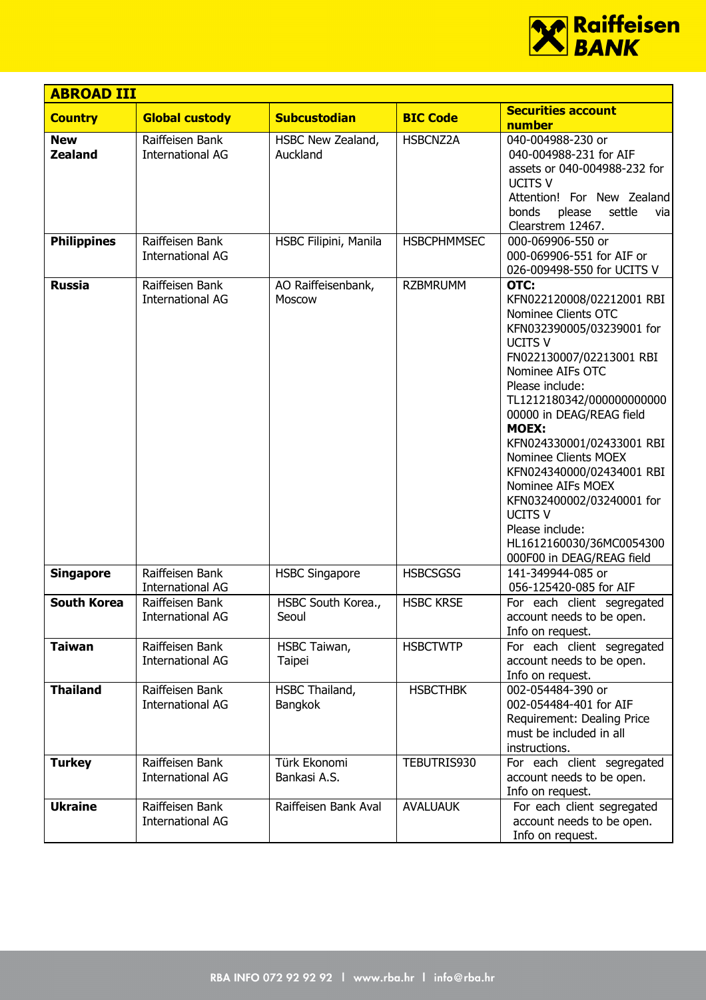

| <b>ABROAD III</b>            |                                            |                                  |                    |                                                                                                                                                                                                                                                                                                                                                                                                                                                                                       |
|------------------------------|--------------------------------------------|----------------------------------|--------------------|---------------------------------------------------------------------------------------------------------------------------------------------------------------------------------------------------------------------------------------------------------------------------------------------------------------------------------------------------------------------------------------------------------------------------------------------------------------------------------------|
| <b>Country</b>               | <b>Global custody</b>                      | <b>Subcustodian</b>              | <b>BIC Code</b>    | <b>Securities account</b>                                                                                                                                                                                                                                                                                                                                                                                                                                                             |
| <b>New</b><br><b>Zealand</b> | Raiffeisen Bank<br><b>International AG</b> | HSBC New Zealand,<br>Auckland    | HSBCNZ2A           | number<br>040-004988-230 or<br>040-004988-231 for AIF<br>assets or 040-004988-232 for<br><b>UCITS V</b><br>Attention! For New Zealand<br>settle<br>bonds<br>please<br>vial<br>Clearstrem 12467.                                                                                                                                                                                                                                                                                       |
| <b>Philippines</b>           | Raiffeisen Bank<br><b>International AG</b> | HSBC Filipini, Manila            | <b>HSBCPHMMSEC</b> | 000-069906-550 or<br>000-069906-551 for AIF or<br>026-009498-550 for UCITS V                                                                                                                                                                                                                                                                                                                                                                                                          |
| <b>Russia</b>                | Raiffeisen Bank<br><b>International AG</b> | AO Raiffeisenbank,<br>Moscow     | <b>RZBMRUMM</b>    | OTC:<br>KFN022120008/02212001 RBI<br>Nominee Clients OTC<br>KFN032390005/03239001 for<br><b>UCITS V</b><br>FN022130007/02213001 RBI<br>Nominee AIFs OTC<br>Please include:<br>TL1212180342/000000000000<br>00000 in DEAG/REAG field<br><b>MOEX:</b><br>KFN024330001/02433001 RBI<br>Nominee Clients MOEX<br>KFN024340000/02434001 RBI<br>Nominee AIFs MOEX<br>KFN032400002/03240001 for<br><b>UCITS V</b><br>Please include:<br>HL1612160030/36MC0054300<br>000F00 in DEAG/REAG field |
| <b>Singapore</b>             | Raiffeisen Bank<br><b>International AG</b> | <b>HSBC Singapore</b>            | <b>HSBCSGSG</b>    | 141-349944-085 or<br>056-125420-085 for AIF                                                                                                                                                                                                                                                                                                                                                                                                                                           |
| <b>South Korea</b>           | Raiffeisen Bank<br>International AG        | HSBC South Korea.,<br>Seoul      | <b>HSBC KRSE</b>   | For each client segregated<br>account needs to be open.<br>Info on request.                                                                                                                                                                                                                                                                                                                                                                                                           |
| <b>Taiwan</b>                | Raiffeisen Bank<br><b>International AG</b> | HSBC Taiwan,<br>Taipei           | <b>HSBCTWTP</b>    | For each client segregated<br>account needs to be open.<br>Info on request.                                                                                                                                                                                                                                                                                                                                                                                                           |
| <b>Thailand</b>              | Raiffeisen Bank<br><b>International AG</b> | HSBC Thailand,<br><b>Bangkok</b> | <b>HSBCTHBK</b>    | 002-054484-390 or<br>002-054484-401 for AIF<br>Requirement: Dealing Price<br>must be included in all<br>instructions.                                                                                                                                                                                                                                                                                                                                                                 |
| <b>Turkey</b>                | Raiffeisen Bank<br><b>International AG</b> | Türk Ekonomi<br>Bankasi A.S.     | TEBUTRIS930        | For each client segregated<br>account needs to be open.<br>Info on request.                                                                                                                                                                                                                                                                                                                                                                                                           |
| <b>Ukraine</b>               | Raiffeisen Bank<br><b>International AG</b> | Raiffeisen Bank Aval             | <b>AVALUAUK</b>    | For each client segregated<br>account needs to be open.<br>Info on request.                                                                                                                                                                                                                                                                                                                                                                                                           |